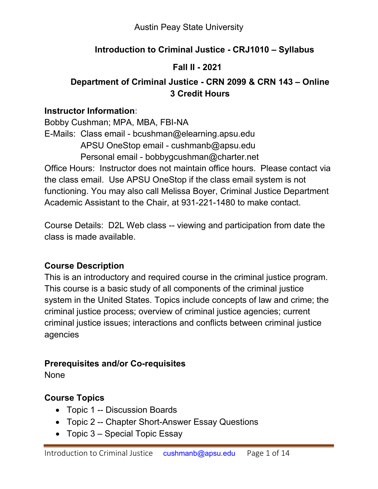## **Introduction to Criminal Justice - CRJ1010 – Syllabus**

## **Fall II - 2021**

# **Department of Criminal Justice - CRN 2099 & CRN 143 – Online 3 Credit Hours**

### **Instructor Information:**

Bobby Cushman; MPA, MBA, FBI-NA E-Mails: Class email - bcushman@elearning.apsu.edu APSU OneStop email - [cushmanb@apsu.edu](mailto:beaversg@apsu.edu) Personal email - bobbygcushman@charter.net

Office Hours: Instructor does not maintain office hours. Please contact via the class email. Use APSU OneStop if the class email system is not functioning. You may also call Melissa Boyer, Criminal Justice Department Academic Assistant to the Chair, at 931-221-1480 to make contact.

Course Details: D2L Web class -- viewing and participation from date the class is made available.

## **Course Description**

This is an introductory and required course in the criminal justice program. This course is a basic study of all components of the criminal justice system in the United States. Topics include concepts of law and crime; the criminal justice process; overview of criminal justice agencies; current criminal justice issues; interactions and conflicts between criminal justice agencies

## **Prerequisites and/or Co-requisites**

**None** 

## **Course Topics**

- Topic 1 -- Discussion Boards
- Topic 2 -- Chapter Short-Answer Essay Questions
- Topic 3 Special Topic Essay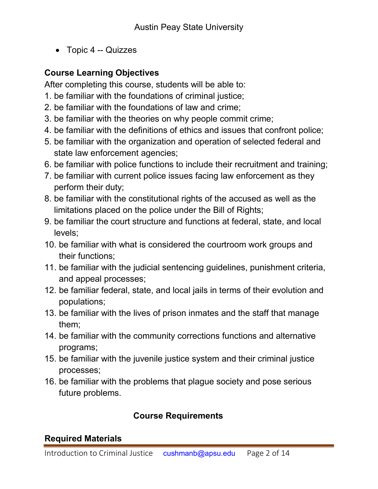• Topic 4 -- Quizzes

### **Course Learning Objectives**

After completing this course, students will be able to:

- 1. be familiar with the foundations of criminal justice;
- 2. be familiar with the foundations of law and crime;
- 3. be familiar with the theories on why people commit crime;
- 4. be familiar with the definitions of ethics and issues that confront police;
- 5. be familiar with the organization and operation of selected federal and state law enforcement agencies;
- 6. be familiar with police functions to include their recruitment and training;
- 7. be familiar with current police issues facing law enforcement as they perform their duty;
- 8. be familiar with the constitutional rights of the accused as well as the limitations placed on the police under the Bill of Rights;
- 9. be familiar the court structure and functions at federal, state, and local levels;
- 10. be familiar with what is considered the courtroom work groups and their functions;
- 11. be familiar with the judicial sentencing guidelines, punishment criteria, and appeal processes;
- 12. be familiar federal, state, and local jails in terms of their evolution and populations;
- 13. be familiar with the lives of prison inmates and the staff that manage them;
- 14. be familiar with the community corrections functions and alternative programs;
- 15. be familiar with the juvenile justice system and their criminal justice processes;
- 16. be familiar with the problems that plague society and pose serious future problems.

### **Course Requirements**

### **Required Materials**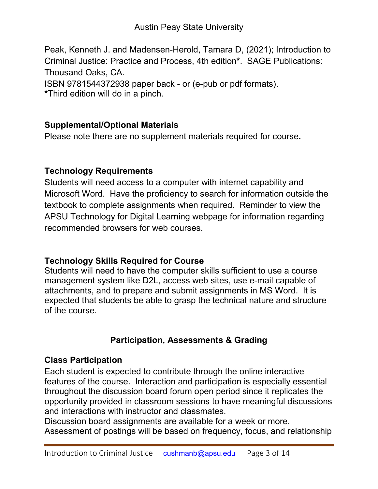Peak, Kenneth J. and Madensen-Herold, Tamara D, (2021); Introduction to Criminal Justice: Practice and Process, 4th edition**\***. SAGE Publications: Thousand Oaks, CA. ISBN 9781544372938 paper back - or (e-pub or pdf formats).

**\***Third edition will do in a pinch.

### **Supplemental/Optional Materials**

Please note there are no supplement materials required for course**.**

## **Technology Requirements**

Students will need access to a computer with internet capability and Microsoft Word. Have the proficiency to search for information outside the textbook to complete assignments when required. Reminder to view the APSU Technology for Digital Learning webpage for information regarding recommended browsers for web courses.

## **Technology Skills Required for Course**

Students will need to have the computer skills sufficient to use a course management system like D2L, access web sites, use e-mail capable of attachments, and to prepare and submit assignments in MS Word. It is expected that students be able to grasp the technical nature and structure of the course.

# **Participation, Assessments & Grading**

### **Class Participation**

Each student is expected to contribute through the online interactive features of the course. Interaction and participation is especially essential throughout the discussion board forum open period since it replicates the opportunity provided in classroom sessions to have meaningful discussions and interactions with instructor and classmates.

Discussion board assignments are available for a week or more. Assessment of postings will be based on frequency, focus, and relationship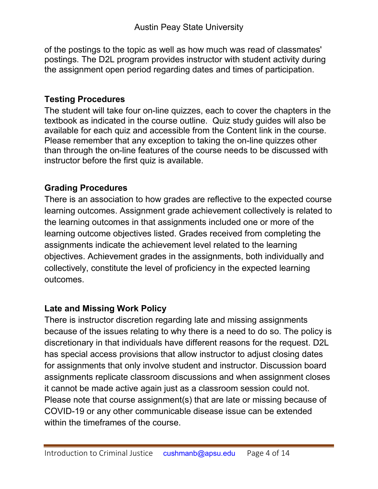of the postings to the topic as well as how much was read of classmates' postings. The D2L program provides instructor with student activity during the assignment open period regarding dates and times of participation.

### **Testing Procedures**

The student will take four on-line quizzes, each to cover the chapters in the textbook as indicated in the course outline. Quiz study guides will also be available for each quiz and accessible from the Content link in the course. Please remember that any exception to taking the on-line quizzes other than through the on-line features of the course needs to be discussed with instructor before the first quiz is available.

### **Grading Procedures**

There is an association to how grades are reflective to the expected course learning outcomes. Assignment grade achievement collectively is related to the learning outcomes in that assignments included one or more of the learning outcome objectives listed. Grades received from completing the assignments indicate the achievement level related to the learning objectives. Achievement grades in the assignments, both individually and collectively, constitute the level of proficiency in the expected learning outcomes.

### **Late and Missing Work Policy**

There is instructor discretion regarding late and missing assignments because of the issues relating to why there is a need to do so. The policy is discretionary in that individuals have different reasons for the request. D2L has special access provisions that allow instructor to adjust closing dates for assignments that only involve student and instructor. Discussion board assignments replicate classroom discussions and when assignment closes it cannot be made active again just as a classroom session could not. Please note that course assignment(s) that are late or missing because of COVID-19 or any other communicable disease issue can be extended within the timeframes of the course.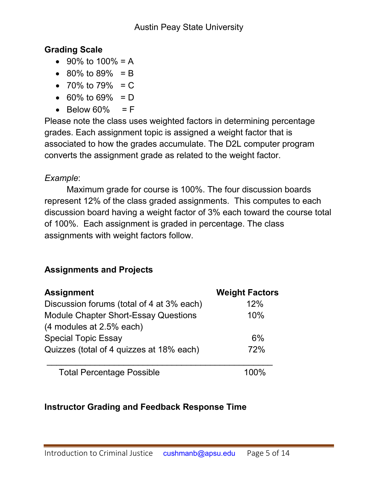## **Grading Scale**

- 90% to  $100% = A$
- $80\%$  to  $89\% = B$
- 70% to 79%  $= C$
- 60% to 69% =  $D$
- $\bullet$  Below 60% = F

Please note the class uses weighted factors in determining percentage grades. Each assignment topic is assigned a weight factor that is associated to how the grades accumulate. The D2L computer program converts the assignment grade as related to the weight factor.

# *Example*:

Maximum grade for course is 100%. The four discussion boards represent 12% of the class graded assignments. This computes to each discussion board having a weight factor of 3% each toward the course total of 100%. Each assignment is graded in percentage. The class assignments with weight factors follow.

# **Assignments and Projects**

| <b>Assignment</b>                           | <b>Weight Factors</b> |
|---------------------------------------------|-----------------------|
| Discussion forums (total of 4 at 3% each)   | 12%                   |
| <b>Module Chapter Short-Essay Questions</b> | 10%                   |
| (4 modules at 2.5% each)                    |                       |
| <b>Special Topic Essay</b>                  | 6%                    |
| Quizzes (total of 4 quizzes at 18% each)    | 72%                   |
| <b>Total Percentage Possible</b>            |                       |

# **Instructor Grading and Feedback Response Time**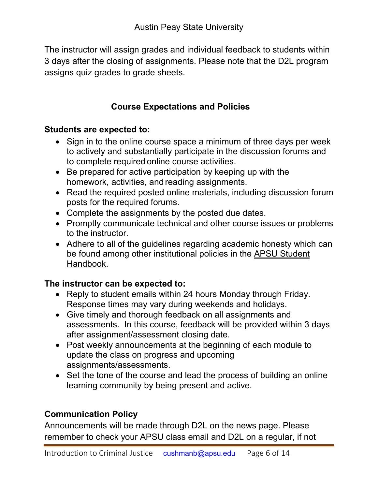The instructor will assign grades and individual feedback to students within 3 days after the closing of assignments. Please note that the D2L program assigns quiz grades to grade sheets.

## **Course Expectations and Policies**

#### **Students are expected to:**

- Sign in to the online course space a minimum of three days per week to actively and substantially participate in the discussion forums and to complete required online course activities.
- Be prepared for active participation by keeping up with the homework, activities, and reading assignments.
- Read the required posted online materials, including discussion forum posts for the required forums.
- Complete the assignments by the posted due dates.
- Promptly communicate technical and other course issues or problems to the instructor.
- Adhere to all of the guidelines regarding academic honesty which can be found among other institutional policies in the **APSU Student** [Handbook.](https://apsu.edu/handbook/index.php)

### **The instructor can be expected to:**

- Reply to student emails within 24 hours Monday through Friday. Response times may vary during weekends and holidays.
- Give timely and thorough feedback on all assignments and assessments. In this course, feedback will be provided within 3 days after assignment/assessment closing date.
- Post weekly announcements at the beginning of each module to update the class on progress and upcoming assignments/assessments.
- Set the tone of the course and lead the process of building an online learning community by being present and active.

## **Communication Policy**

Announcements will be made through D2L on the news page. Please remember to check your APSU class email and D2L on a regular, if not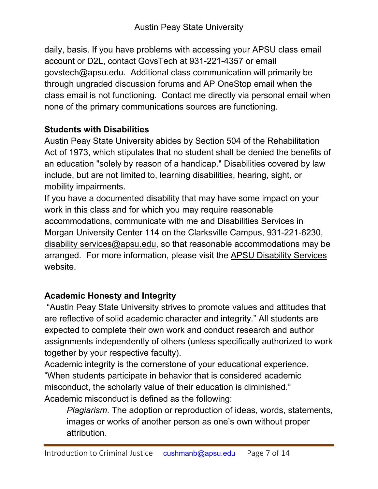daily, basis. If you have problems with accessing your APSU class email account or D2L, contact GovsTech at 931-221-4357 or email [govstech@apsu.edu.](mailto:govstech@apsu.edu) Additional class communication will primarily be through ungraded discussion forums and AP OneStop email when the class email is not functioning. Contact me directly via personal email when none of the primary communications sources are functioning.

# **Students with Disabilities**

Austin Peay State University abides by Section 504 of the Rehabilitation Act of 1973, which stipulates that no student shall be denied the benefits of an education "solely by reason of a handicap." Disabilities covered by law include, but are not limited to, learning disabilities, hearing, sight, or mobility impairments.

If you have a documented disability that may have some impact on your work in this class and for which you may require reasonable accommodations, communicate with me and Disabilities Services in Morgan University Center 114 on the Clarksville Campus, 931-221-6230, disability services@apsu.edu, so that reasonable accommodations may be arranged. For more information, please visit the APSU Disability Services website.

# **Academic Honesty and Integrity**

"Austin Peay State University strives to promote values and attitudes that are reflective of solid academic character and integrity." All students are expected to complete their own work and conduct research and author assignments independently of others (unless specifically authorized to work together by your respective faculty).

Academic integrity is the cornerstone of your educational experience. "When students participate in behavior that is considered academic misconduct, the scholarly value of their education is diminished." Academic misconduct is defined as the following:

*Plagiarism*. The adoption or reproduction of ideas, words, statements, images or works of another person as one's own without proper attribution.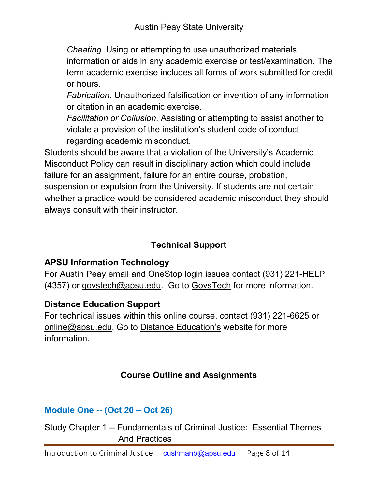*Cheating*. Using or attempting to use unauthorized materials,

information or aids in any academic exercise or test/examination. The term academic exercise includes all forms of work submitted for credit or hours.

*Fabrication*. Unauthorized falsification or invention of any information or citation in an academic exercise.

*Facilitation or Collusion*. Assisting or attempting to assist another to violate a provision of the institution's student code of conduct regarding academic misconduct.

Students should be aware that a violation of the University's Academic Misconduct Policy can result in disciplinary action which could include failure for an assignment, failure for an entire course, probation, suspension or expulsion from the University. If students are not certain whether a practice would be considered academic misconduct they should always consult with their instructor.

# **Technical Support**

# **APSU Information Technology**

For Austin Peay email and OneStop login issues contact (931) 221-HELP (4357) or [govstech@apsu.edu.](mailto:govstech@apsu.edu) Go to [GovsTech](https://www.apsu.edu/information-technology/helpdesk/) for more information.

## **Distance Education Support**

For technical issues within this online course, contact (931) 221-6625 or [online@apsu.edu.](mailto:online@apsu.edu) Go to [Distance Education's](http://apsu.edu/online) website for more information.

# **Course Outline and Assignments**

# **Module One -- (Oct 20 – Oct 26)**

Study Chapter 1 -- Fundamentals of Criminal Justice: Essential Themes And Practices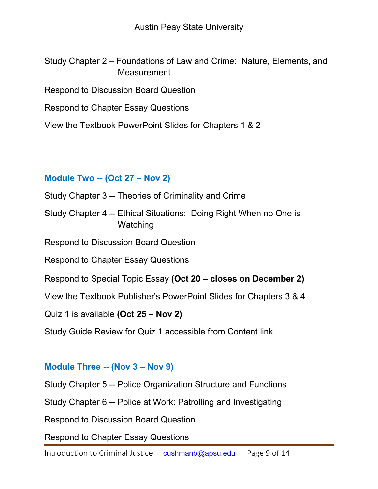Study Chapter 2 – Foundations of Law and Crime: Nature, Elements, and **Measurement** 

Respond to Discussion Board Question

Respond to Chapter Essay Questions

View the Textbook PowerPoint Slides for Chapters 1 & 2

#### **Module Two -- (Oct 27 – Nov 2)**

Study Chapter 3 -- Theories of Criminality and Crime

Study Chapter 4 -- Ethical Situations: Doing Right When no One is **Watching** 

Respond to Discussion Board Question

Respond to Chapter Essay Questions

Respond to Special Topic Essay **(Oct 20 – closes on December 2)**

View the Textbook Publisher's PowerPoint Slides for Chapters 3 & 4

Quiz 1 is available **(Oct 25 – Nov 2)**

Study Guide Review for Quiz 1 accessible from Content link

#### **Module Three -- (Nov 3 – Nov 9)**

Study Chapter 5 -- Police Organization Structure and Functions

Study Chapter 6 -- Police at Work: Patrolling and Investigating

Respond to Discussion Board Question

Respond to Chapter Essay Questions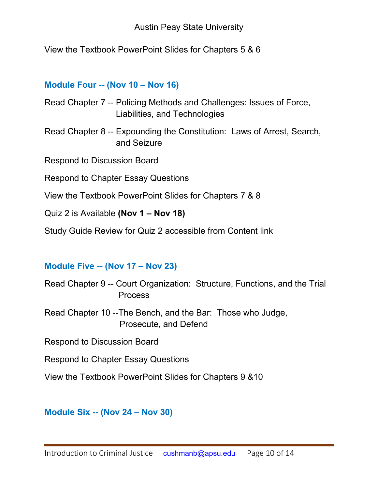View the Textbook PowerPoint Slides for Chapters 5 & 6

#### **Module Four -- (Nov 10 – Nov 16)**

| Read Chapter 7 -- Policing Methods and Challenges: Issues of Force, |
|---------------------------------------------------------------------|
| Liabilities, and Technologies                                       |

Read Chapter 8 -- Expounding the Constitution: Laws of Arrest, Search, and Seizure

Respond to Discussion Board

Respond to Chapter Essay Questions

- View the Textbook PowerPoint Slides for Chapters 7 & 8
- Quiz 2 is Available **(Nov 1 – Nov 18)**

Study Guide Review for Quiz 2 accessible from Content link

#### **Module Five -- (Nov 17 – Nov 23)**

- Read Chapter 9 -- Court Organization: Structure, Functions, and the Trial Process
- Read Chapter 10 --The Bench, and the Bar: Those who Judge, Prosecute, and Defend

Respond to Discussion Board

Respond to Chapter Essay Questions

View the Textbook PowerPoint Slides for Chapters 9 &10

**Module Six -- (Nov 24 – Nov 30)**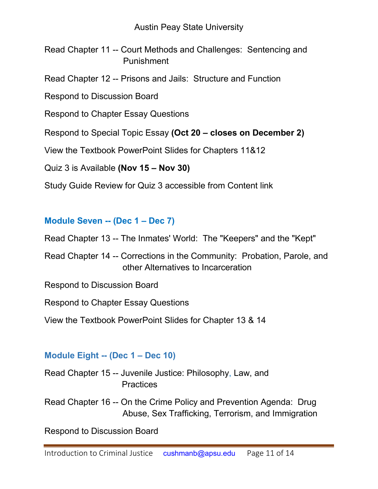Read Chapter 11 -- Court Methods and Challenges: Sentencing and Punishment

Read Chapter 12 -- Prisons and Jails: Structure and Function

Respond to Discussion Board

Respond to Chapter Essay Questions

Respond to Special Topic Essay **(Oct 20 – closes on December 2)**

View the Textbook PowerPoint Slides for Chapters 11&12

Quiz 3 is Available **(Nov 15 – Nov 30)**

Study Guide Review for Quiz 3 accessible from Content link

#### **Module Seven -- (Dec 1 – Dec 7)**

Read Chapter 13 -- The Inmates' World: The "Keepers" and the "Kept"

Read Chapter 14 -- Corrections in the Community: Probation, Parole, and other Alternatives to Incarceration

Respond to Discussion Board

Respond to Chapter Essay Questions

View the Textbook PowerPoint Slides for Chapter 13 & 14

#### **Module Eight -- (Dec 1 – Dec 10)**

Read Chapter 15 -- Juvenile Justice: Philosophy, Law, and **Practices** 

Read Chapter 16 -- On the Crime Policy and Prevention Agenda: Drug Abuse, Sex Trafficking, Terrorism, and Immigration

Respond to Discussion Board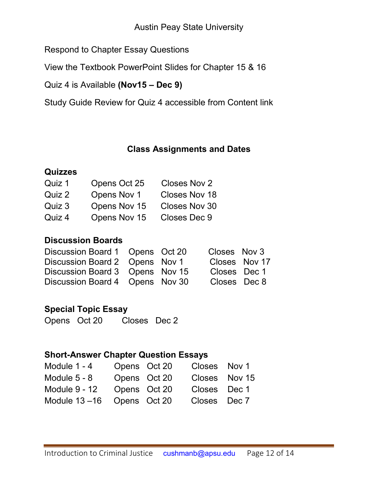Respond to Chapter Essay Questions

View the Textbook PowerPoint Slides for Chapter 15 & 16

Quiz 4 is Available **(Nov15 – Dec 9)**

Study Guide Review for Quiz 4 accessible from Content link

#### **Class Assignments and Dates**

#### **Quizzes**

| Quiz 1 | Opens Oct 25 | Closes Nov 2         |
|--------|--------------|----------------------|
| Quiz 2 | Opens Nov 1  | <b>Closes Nov 18</b> |
| Quiz 3 | Opens Nov 15 | Closes Nov 30        |
| Quiz 4 | Opens Nov 15 | Closes Dec 9         |

### **Discussion Boards**

| Discussion Board 1 Opens Oct 20 |  | Closes Nov 3 |               |
|---------------------------------|--|--------------|---------------|
| Discussion Board 2 Opens Nov 1  |  |              | Closes Nov 17 |
| Discussion Board 3 Opens Nov 15 |  | Closes Dec 1 |               |
| Discussion Board 4 Opens Nov 30 |  | Closes Dec 8 |               |

#### **Special Topic Essay**

Opens Oct 20 Closes Dec 2

#### **Short-Answer Chapter Question Essays**

| Module 1 - 4     |              | Opens Oct 20 | Closes Nov 1  |  |
|------------------|--------------|--------------|---------------|--|
| Module $5 - 8$   | Opens Oct 20 |              | Closes Nov 15 |  |
| Module 9 - 12    |              | Opens Oct 20 | Closes Dec 1  |  |
| Module $13 - 16$ | Opens Oct 20 |              | Closes Dec 7  |  |